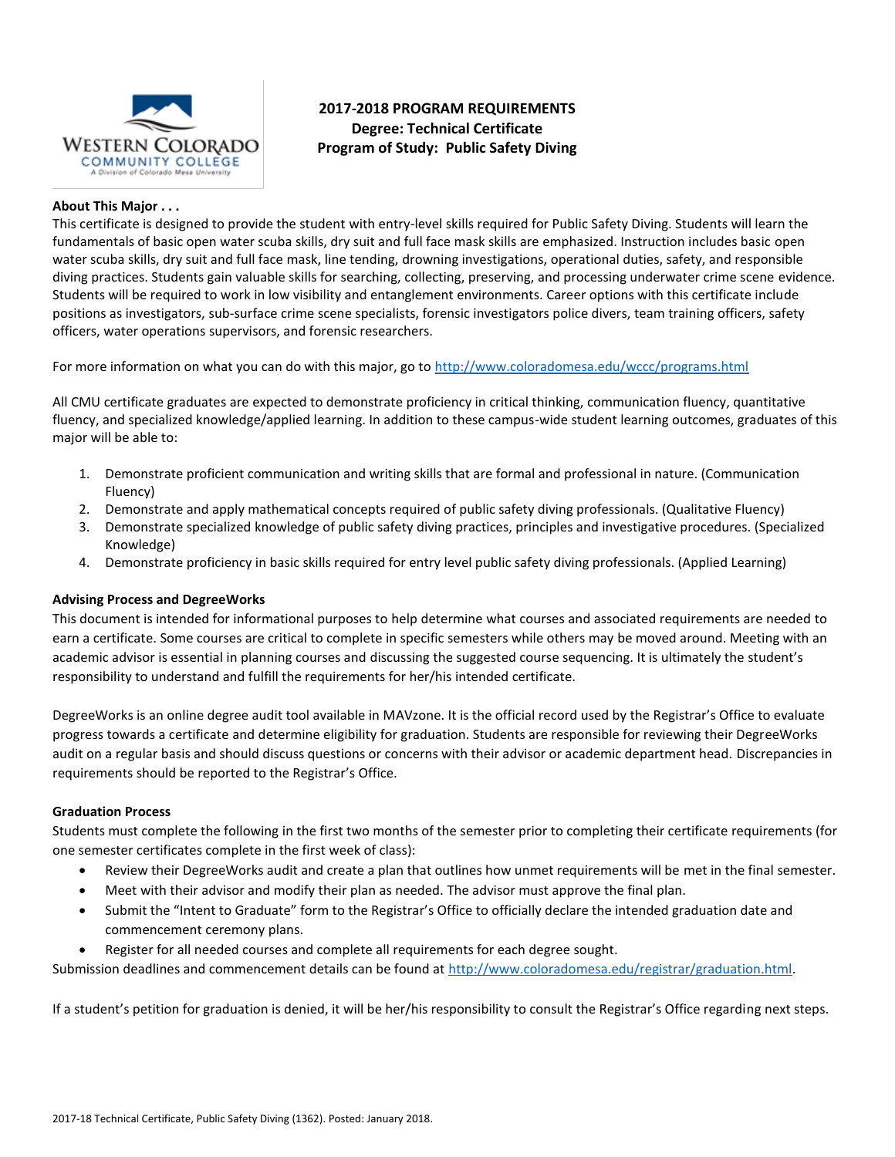

# **2017-2018 PROGRAM REQUIREMENTS Degree: Technical Certificate Program of Study: Public Safety Diving**

## **About This Major . . .**

This certificate is designed to provide the student with entry-level skills required for Public Safety Diving. Students will learn the fundamentals of basic open water scuba skills, dry suit and full face mask skills are emphasized. Instruction includes basic open water scuba skills, dry suit and full face mask, line tending, drowning investigations, operational duties, safety, and responsible diving practices. Students gain valuable skills for searching, collecting, preserving, and processing underwater crime scene evidence. Students will be required to work in low visibility and entanglement environments. Career options with this certificate include positions as investigators, sub-surface crime scene specialists, forensic investigators police divers, team training officers, safety officers, water operations supervisors, and forensic researchers.

For more information on what you can do with this major, go to<http://www.coloradomesa.edu/wccc/programs.html>

All CMU certificate graduates are expected to demonstrate proficiency in critical thinking, communication fluency, quantitative fluency, and specialized knowledge/applied learning. In addition to these campus-wide student learning outcomes, graduates of this major will be able to:

- 1. Demonstrate proficient communication and writing skills that are formal and professional in nature. (Communication Fluency)
- 2. Demonstrate and apply mathematical concepts required of public safety diving professionals. (Qualitative Fluency)
- 3. Demonstrate specialized knowledge of public safety diving practices, principles and investigative procedures. (Specialized Knowledge)
- 4. Demonstrate proficiency in basic skills required for entry level public safety diving professionals. (Applied Learning)

## **Advising Process and DegreeWorks**

This document is intended for informational purposes to help determine what courses and associated requirements are needed to earn a certificate. Some courses are critical to complete in specific semesters while others may be moved around. Meeting with an academic advisor is essential in planning courses and discussing the suggested course sequencing. It is ultimately the student's responsibility to understand and fulfill the requirements for her/his intended certificate.

DegreeWorks is an online degree audit tool available in MAVzone. It is the official record used by the Registrar's Office to evaluate progress towards a certificate and determine eligibility for graduation. Students are responsible for reviewing their DegreeWorks audit on a regular basis and should discuss questions or concerns with their advisor or academic department head. Discrepancies in requirements should be reported to the Registrar's Office.

#### **Graduation Process**

Students must complete the following in the first two months of the semester prior to completing their certificate requirements (for one semester certificates complete in the first week of class):

- Review their DegreeWorks audit and create a plan that outlines how unmet requirements will be met in the final semester.
- Meet with their advisor and modify their plan as needed. The advisor must approve the final plan.
- Submit the "Intent to Graduate" form to the Registrar's Office to officially declare the intended graduation date and commencement ceremony plans.
- Register for all needed courses and complete all requirements for each degree sought.

Submission deadlines and commencement details can be found at [http://www.coloradomesa.edu/registrar/graduation.html.](http://www.coloradomesa.edu/registrar/graduation.html)

If a student's petition for graduation is denied, it will be her/his responsibility to consult the Registrar's Office regarding next steps.